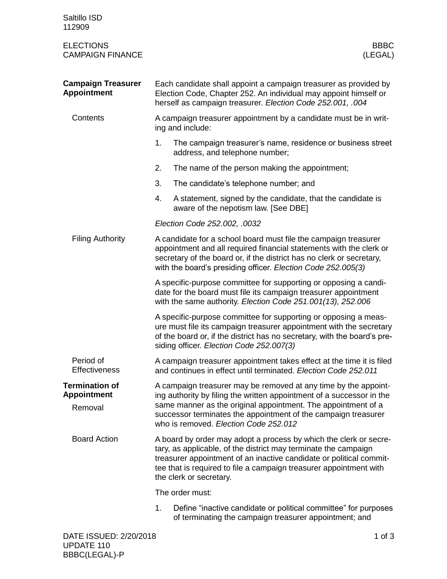| Saltillo ISD<br>112909                                 |                                                                                                                                                                                                                                                                                                                      |                                                                                                                           |  |  |
|--------------------------------------------------------|----------------------------------------------------------------------------------------------------------------------------------------------------------------------------------------------------------------------------------------------------------------------------------------------------------------------|---------------------------------------------------------------------------------------------------------------------------|--|--|
| <b>ELECTIONS</b><br><b>CAMPAIGN FINANCE</b>            |                                                                                                                                                                                                                                                                                                                      | <b>BBBC</b><br>(LEGAL)                                                                                                    |  |  |
| <b>Campaign Treasurer</b><br><b>Appointment</b>        | Each candidate shall appoint a campaign treasurer as provided by<br>Election Code, Chapter 252. An individual may appoint himself or<br>herself as campaign treasurer. Election Code 252.001, .004                                                                                                                   |                                                                                                                           |  |  |
| Contents                                               | A campaign treasurer appointment by a candidate must be in writ-<br>ing and include:                                                                                                                                                                                                                                 |                                                                                                                           |  |  |
|                                                        | 1.                                                                                                                                                                                                                                                                                                                   | The campaign treasurer's name, residence or business street<br>address, and telephone number;                             |  |  |
|                                                        | 2.                                                                                                                                                                                                                                                                                                                   | The name of the person making the appointment;                                                                            |  |  |
|                                                        | 3.                                                                                                                                                                                                                                                                                                                   | The candidate's telephone number; and                                                                                     |  |  |
|                                                        | 4.                                                                                                                                                                                                                                                                                                                   | A statement, signed by the candidate, that the candidate is<br>aware of the nepotism law. [See DBE]                       |  |  |
|                                                        | Election Code 252.002, .0032                                                                                                                                                                                                                                                                                         |                                                                                                                           |  |  |
| <b>Filing Authority</b>                                | A candidate for a school board must file the campaign treasurer<br>appointment and all required financial statements with the clerk or<br>secretary of the board or, if the district has no clerk or secretary,<br>with the board's presiding officer. Election Code 252.005(3)                                      |                                                                                                                           |  |  |
|                                                        | A specific-purpose committee for supporting or opposing a candi-<br>date for the board must file its campaign treasurer appointment<br>with the same authority. Election Code 251.001(13), 252.006                                                                                                                   |                                                                                                                           |  |  |
|                                                        | A specific-purpose committee for supporting or opposing a meas-<br>ure must file its campaign treasurer appointment with the secretary<br>of the board or, if the district has no secretary, with the board's pre-<br>siding officer. Election Code 252.007(3)                                                       |                                                                                                                           |  |  |
| Period of<br><b>Effectiveness</b>                      | A campaign treasurer appointment takes effect at the time it is filed<br>and continues in effect until terminated. Election Code 252.011                                                                                                                                                                             |                                                                                                                           |  |  |
| <b>Termination of</b><br><b>Appointment</b><br>Removal | A campaign treasurer may be removed at any time by the appoint-<br>ing authority by filing the written appointment of a successor in the<br>same manner as the original appointment. The appointment of a<br>successor terminates the appointment of the campaign treasurer<br>who is removed. Election Code 252.012 |                                                                                                                           |  |  |
| <b>Board Action</b>                                    | A board by order may adopt a process by which the clerk or secre-<br>tary, as applicable, of the district may terminate the campaign<br>treasurer appointment of an inactive candidate or political commit-<br>tee that is required to file a campaign treasurer appointment with<br>the clerk or secretary.         |                                                                                                                           |  |  |
|                                                        |                                                                                                                                                                                                                                                                                                                      | The order must:                                                                                                           |  |  |
|                                                        | 1.                                                                                                                                                                                                                                                                                                                   | Define "inactive candidate or political committee" for purposes<br>of terminating the campaign treasurer appointment; and |  |  |
| DATE ISSUED: 2/20/2018                                 |                                                                                                                                                                                                                                                                                                                      | $1$ of $3$                                                                                                                |  |  |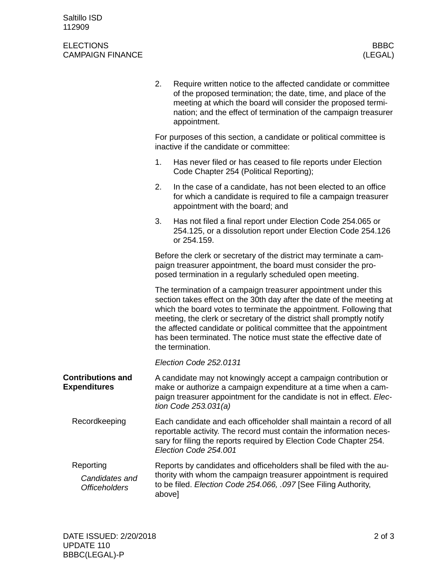## ELECTIONS BBBC<br>CAMPAIGN FINANCE (LEGAL) CAMPAIGN FINANCE

|                                                     | 2.                                                                                                             | Require written notice to the affected candidate or committee<br>of the proposed termination; the date, time, and place of the<br>meeting at which the board will consider the proposed termi-<br>nation; and the effect of termination of the campaign treasurer<br>appointment.                                                                                                                                                                    |  |  |  |
|-----------------------------------------------------|----------------------------------------------------------------------------------------------------------------|------------------------------------------------------------------------------------------------------------------------------------------------------------------------------------------------------------------------------------------------------------------------------------------------------------------------------------------------------------------------------------------------------------------------------------------------------|--|--|--|
|                                                     | For purposes of this section, a candidate or political committee is<br>inactive if the candidate or committee: |                                                                                                                                                                                                                                                                                                                                                                                                                                                      |  |  |  |
|                                                     | 1.                                                                                                             | Has never filed or has ceased to file reports under Election<br>Code Chapter 254 (Political Reporting);                                                                                                                                                                                                                                                                                                                                              |  |  |  |
|                                                     | 2.                                                                                                             | In the case of a candidate, has not been elected to an office<br>for which a candidate is required to file a campaign treasurer<br>appointment with the board; and                                                                                                                                                                                                                                                                                   |  |  |  |
|                                                     | 3.                                                                                                             | Has not filed a final report under Election Code 254.065 or<br>254.125, or a dissolution report under Election Code 254.126<br>or 254.159.                                                                                                                                                                                                                                                                                                           |  |  |  |
|                                                     |                                                                                                                | Before the clerk or secretary of the district may terminate a cam-<br>paign treasurer appointment, the board must consider the pro-<br>posed termination in a regularly scheduled open meeting.                                                                                                                                                                                                                                                      |  |  |  |
|                                                     |                                                                                                                | The termination of a campaign treasurer appointment under this<br>section takes effect on the 30th day after the date of the meeting at<br>which the board votes to terminate the appointment. Following that<br>meeting, the clerk or secretary of the district shall promptly notify<br>the affected candidate or political committee that the appointment<br>has been terminated. The notice must state the effective date of<br>the termination. |  |  |  |
|                                                     |                                                                                                                | Election Code 252.0131                                                                                                                                                                                                                                                                                                                                                                                                                               |  |  |  |
| <b>Contributions and</b><br><b>Expenditures</b>     |                                                                                                                | A candidate may not knowingly accept a campaign contribution or<br>make or authorize a campaign expenditure at a time when a cam-<br>paign treasurer appointment for the candidate is not in effect. Elec-<br>tion Code $253.031(a)$                                                                                                                                                                                                                 |  |  |  |
| Recordkeeping                                       |                                                                                                                | Each candidate and each officeholder shall maintain a record of all<br>reportable activity. The record must contain the information neces-<br>sary for filing the reports required by Election Code Chapter 254.<br>Election Code 254.001                                                                                                                                                                                                            |  |  |  |
| Reporting<br>Candidates and<br><b>Officeholders</b> |                                                                                                                | Reports by candidates and officeholders shall be filed with the au-<br>thority with whom the campaign treasurer appointment is required<br>to be filed. Election Code 254.066, .097 [See Filing Authority,<br>above]                                                                                                                                                                                                                                 |  |  |  |